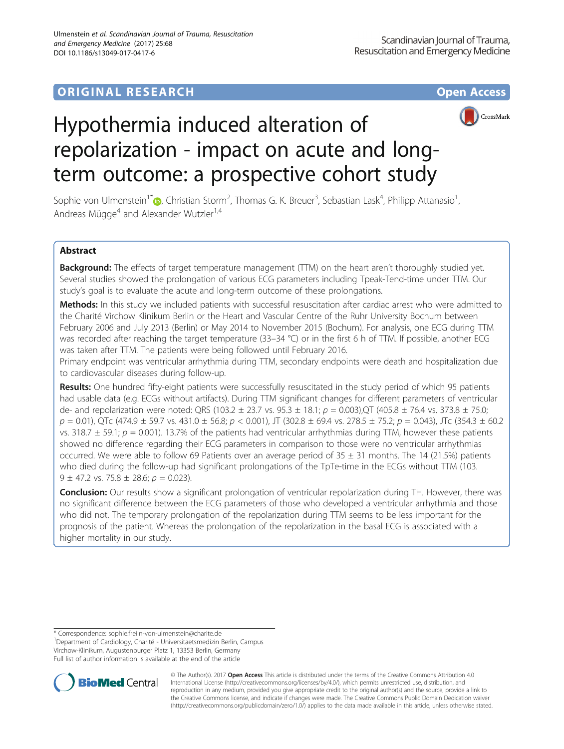# **ORIGINAL RESEARCH CONSUMING ACCESS**



# Hypothermia induced alteration of repolarization - impact on acute and longterm outcome: a prospective cohort study

Sophie von Ulmenstein<sup>1\*</sup> (**p**[,](http://orcid.org/0000-0002-3033-0743) Christian Storm<sup>2</sup>, Thomas G. K. Breuer<sup>3</sup>, Sebastian Lask<sup>4</sup>, Philipp Attanasio<sup>1</sup> , Andreas Mügge<sup>4</sup> and Alexander Wutzler<sup>1,4</sup>

# Abstract

Background: The effects of target temperature management (TTM) on the heart aren't thoroughly studied yet. Several studies showed the prolongation of various ECG parameters including Tpeak-Tend-time under TTM. Our study's goal is to evaluate the acute and long-term outcome of these prolongations.

Methods: In this study we included patients with successful resuscitation after cardiac arrest who were admitted to the Charité Virchow Klinikum Berlin or the Heart and Vascular Centre of the Ruhr University Bochum between February 2006 and July 2013 (Berlin) or May 2014 to November 2015 (Bochum). For analysis, one ECG during TTM was recorded after reaching the target temperature (33–34 °C) or in the first 6 h of TTM. If possible, another ECG was taken after TTM. The patients were being followed until February 2016.

Primary endpoint was ventricular arrhythmia during TTM, secondary endpoints were death and hospitalization due to cardiovascular diseases during follow-up.

Results: One hundred fifty-eight patients were successfully resuscitated in the study period of which 95 patients had usable data (e.g. ECGs without artifacts). During TTM significant changes for different parameters of ventricular de- and repolarization were noted: QRS (103.2  $\pm$  23.7 vs. 95.3  $\pm$  18.1;  $p = 0.003$ ),QT (405.8  $\pm$  76.4 vs. 373.8  $\pm$  75.0;  $p = 0.01$ ), QTc (474.9  $\pm$  59.7 vs. 431.0  $\pm$  56.8;  $p < 0.001$ ), JT (302.8  $\pm$  69.4 vs. 278.5  $\pm$  75.2;  $p = 0.043$ ), JTc (354.3  $\pm$  60.2 vs. 318.7  $\pm$  59.1;  $p = 0.001$ ). 13.7% of the patients had ventricular arrhythmias during TTM, however these patients showed no difference regarding their ECG parameters in comparison to those were no ventricular arrhythmias occurred. We were able to follow 69 Patients over an average period of  $35 \pm 31$  months. The 14 (21.5%) patients who died during the follow-up had significant prolongations of the TpTe-time in the ECGs without TTM (103. 9 ± 47.2 vs. 75.8 ± 28.6;  $p = 0.023$ ).

Conclusion: Our results show a significant prolongation of ventricular repolarization during TH. However, there was no significant difference between the ECG parameters of those who developed a ventricular arrhythmia and those who did not. The temporary prolongation of the repolarization during TTM seems to be less important for the prognosis of the patient. Whereas the prolongation of the repolarization in the basal ECG is associated with a higher mortality in our study.

<sup>&</sup>lt;sup>1</sup>Department of Cardiology, Charité - Universitaetsmedizin Berlin, Campus Virchow-Klinikum, Augustenburger Platz 1, 13353 Berlin, Germany Full list of author information is available at the end of the article



© The Author(s). 2017 **Open Access** This article is distributed under the terms of the Creative Commons Attribution 4.0 International License [\(http://creativecommons.org/licenses/by/4.0/](http://creativecommons.org/licenses/by/4.0/)), which permits unrestricted use, distribution, and reproduction in any medium, provided you give appropriate credit to the original author(s) and the source, provide a link to the Creative Commons license, and indicate if changes were made. The Creative Commons Public Domain Dedication waiver [\(http://creativecommons.org/publicdomain/zero/1.0/](http://creativecommons.org/publicdomain/zero/1.0/)) applies to the data made available in this article, unless otherwise stated.

<sup>\*</sup> Correspondence: [sophie.freiin-von-ulmenstein@charite.de](mailto:sophie.freiin-von-ulmenstein@charite.de) <sup>1</sup>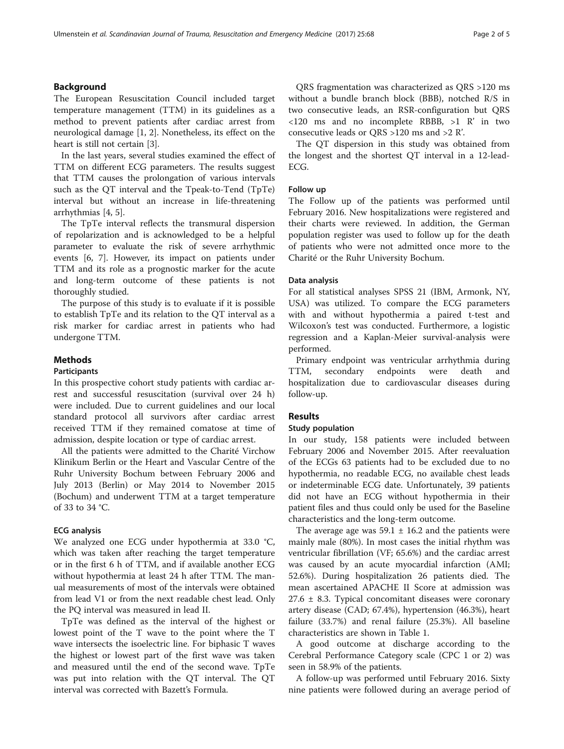## Background

The European Resuscitation Council included target temperature management (TTM) in its guidelines as a method to prevent patients after cardiac arrest from neurological damage [[1](#page-4-0), [2\]](#page-4-0). Nonetheless, its effect on the heart is still not certain [\[3](#page-4-0)].

In the last years, several studies examined the effect of TTM on different ECG parameters. The results suggest that TTM causes the prolongation of various intervals such as the QT interval and the Tpeak-to-Tend (TpTe) interval but without an increase in life-threatening arrhythmias [[4, 5\]](#page-4-0).

The TpTe interval reflects the transmural dispersion of repolarization and is acknowledged to be a helpful parameter to evaluate the risk of severe arrhythmic events [\[6](#page-4-0), [7\]](#page-4-0). However, its impact on patients under TTM and its role as a prognostic marker for the acute and long-term outcome of these patients is not thoroughly studied.

The purpose of this study is to evaluate if it is possible to establish TpTe and its relation to the QT interval as a risk marker for cardiac arrest in patients who had undergone TTM.

# Methods

#### Participants

In this prospective cohort study patients with cardiac arrest and successful resuscitation (survival over 24 h) were included. Due to current guidelines and our local standard protocol all survivors after cardiac arrest received TTM if they remained comatose at time of admission, despite location or type of cardiac arrest.

All the patients were admitted to the Charité Virchow Klinikum Berlin or the Heart and Vascular Centre of the Ruhr University Bochum between February 2006 and July 2013 (Berlin) or May 2014 to November 2015 (Bochum) and underwent TTM at a target temperature of 33 to 34 °C.

#### ECG analysis

We analyzed one ECG under hypothermia at 33.0 °C, which was taken after reaching the target temperature or in the first 6 h of TTM, and if available another ECG without hypothermia at least 24 h after TTM. The manual measurements of most of the intervals were obtained from lead V1 or from the next readable chest lead. Only the PQ interval was measured in lead II.

TpTe was defined as the interval of the highest or lowest point of the T wave to the point where the T wave intersects the isoelectric line. For biphasic T waves the highest or lowest part of the first wave was taken and measured until the end of the second wave. TpTe was put into relation with the QT interval. The QT interval was corrected with Bazett's Formula.

QRS fragmentation was characterized as QRS >120 ms without a bundle branch block (BBB), notched R/S in two consecutive leads, an RSR-configuration but QRS <120 ms and no incomplete RBBB, >1 R' in two consecutive leads or QRS >120 ms and >2 R'.

The QT dispersion in this study was obtained from the longest and the shortest QT interval in a 12-lead-ECG.

#### Follow up

The Follow up of the patients was performed until February 2016. New hospitalizations were registered and their charts were reviewed. In addition, the German population register was used to follow up for the death of patients who were not admitted once more to the Charité or the Ruhr University Bochum.

#### Data analysis

For all statistical analyses SPSS 21 (IBM, Armonk, NY, USA) was utilized. To compare the ECG parameters with and without hypothermia a paired t-test and Wilcoxon's test was conducted. Furthermore, a logistic regression and a Kaplan-Meier survival-analysis were performed.

Primary endpoint was ventricular arrhythmia during TTM, secondary endpoints were death hospitalization due to cardiovascular diseases during follow-up.

#### Results

#### Study population

In our study, 158 patients were included between February 2006 and November 2015. After reevaluation of the ECGs 63 patients had to be excluded due to no hypothermia, no readable ECG, no available chest leads or indeterminable ECG date. Unfortunately, 39 patients did not have an ECG without hypothermia in their patient files and thus could only be used for the Baseline characteristics and the long-term outcome.

The average age was  $59.1 \pm 16.2$  and the patients were mainly male (80%). In most cases the initial rhythm was ventricular fibrillation (VF; 65.6%) and the cardiac arrest was caused by an acute myocardial infarction (AMI; 52.6%). During hospitalization 26 patients died. The mean ascertained APACHE II Score at admission was  $27.6 \pm 8.3$ . Typical concomitant diseases were coronary artery disease (CAD; 67.4%), hypertension (46.3%), heart failure (33.7%) and renal failure (25.3%). All baseline characteristics are shown in Table [1](#page-2-0).

A good outcome at discharge according to the Cerebral Performance Category scale (CPC 1 or 2) was seen in 58.9% of the patients.

A follow-up was performed until February 2016. Sixty nine patients were followed during an average period of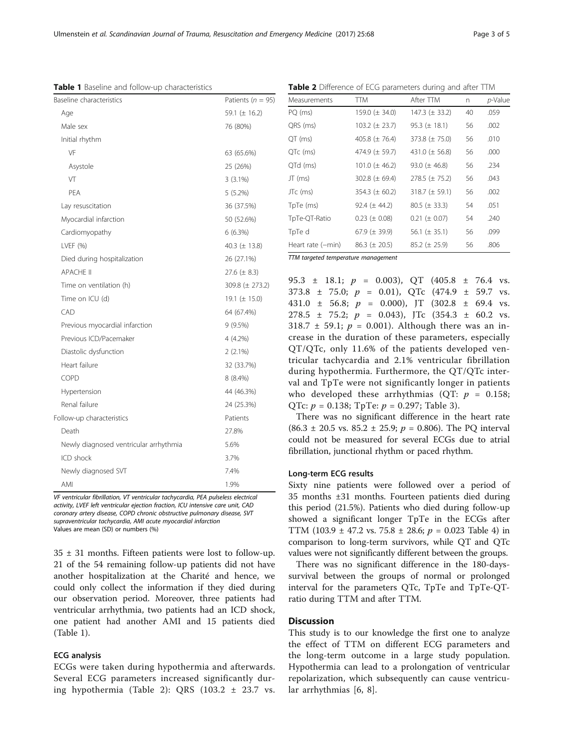VF ventricular fibrillation, VT ventricular tachycardia, PEA pulseless electrical activity, LVEF left ventricular ejection fraction, ICU intensive care unit, CAD coronary artery disease, COPD chronic obstructive pulmonary disease, SVT supraventricular tachycardia, AMI acute myocardial infarction Values are mean (SD) or numbers (%)

 $35 \pm 31$  months. Fifteen patients were lost to follow-up. 21 of the 54 remaining follow-up patients did not have another hospitalization at the Charité and hence, we could only collect the information if they died during our observation period. Moreover, three patients had ventricular arrhythmia, two patients had an ICD shock, one patient had another AMI and 15 patients died (Table 1).

### ECG analysis

ECGs were taken during hypothermia and afterwards. Several ECG parameters increased significantly during hypothermia (Table 2): QRS (103.2 ± 23.7 vs.

431.0 ± 56.8; p = 0.000), JT (302.8 ± 69.4 vs. 278.5  $\pm$  75.2;  $p = 0.043$ ), JTc (354.3  $\pm$  60.2 vs. 318.7  $\pm$  59.1;  $p = 0.001$ ). Although there was an increase in the duration of these parameters, especially QT/QTc, only 11.6% of the patients developed ventricular tachycardia and 2.1% ventricular fibrillation during hypothermia. Furthermore, the QT/QTc interval and TpTe were not significantly longer in patients who developed these arrhythmias (OT:  $p = 0.158$ ; QTc:  $p = 0.138$ ; TpTe:  $p = 0.297$ ; Table [3](#page-3-0)).

95.3  $\pm$  18.1;  $p = 0.003$ ), QT (405.8  $\pm$  76.4 vs.  $373.8 \pm 75.0$ ;  $p = 0.01$ ), OTc  $(474.9 \pm 59.7 \text{ vs.})$ 

There was no significant difference in the heart rate  $(86.3 \pm 20.5 \text{ vs. } 85.2 \pm 25.9; p = 0.806)$ . The PQ interval could not be measured for several ECGs due to atrial fibrillation, junctional rhythm or paced rhythm.

#### Long-term ECG results

Sixty nine patients were followed over a period of 35 months ±31 months. Fourteen patients died during this period (21.5%). Patients who died during follow-up showed a significant longer TpTe in the ECGs after TTM (103.9  $\pm$  [4](#page-3-0)7.2 vs. 75.8  $\pm$  28.6;  $p = 0.023$  Table 4) in comparison to long-term survivors, while QT and QTc values were not significantly different between the groups.

There was no significant difference in the 180-dayssurvival between the groups of normal or prolonged interval for the parameters QTc, TpTe and TpTe-QTratio during TTM and after TTM.

# **Discussion**

This study is to our knowledge the first one to analyze the effect of TTM on different ECG parameters and the long-term outcome in a large study population. Hypothermia can lead to a prolongation of ventricular repolarization, which subsequently can cause ventricular arrhythmias [[6, 8\]](#page-4-0).

<span id="page-2-0"></span>Table 1 Baseline and follow-up characteristics

| Baseline characteristics               | Patients ( $n = 95$ ) |
|----------------------------------------|-----------------------|
| Age                                    | 59.1 ( $\pm$ 16.2)    |
| Male sex                               | 76 (80%)              |
| Initial rhythm                         |                       |
| VF                                     | 63 (65.6%)            |
| Asystole                               | 25 (26%)              |
| VT                                     | $3(3.1\%)$            |
| PEA                                    | $5(5.2\%)$            |
| Lay resuscitation                      | 36 (37.5%)            |
| Myocardial infarction                  | 50 (52.6%)            |
| Cardiomyopathy                         | $6(6.3\%)$            |
| LVEF (%)                               | 40.3 ( $\pm$ 13.8)    |
| Died during hospitalization            | 26 (27.1%)            |
| <b>APACHE II</b>                       | 27.6 $(\pm 8.3)$      |
| Time on ventilation (h)                | 309.8 ( $\pm$ 273.2)  |
| Time on ICU (d)                        | 19.1 $(\pm 15.0)$     |
| CAD                                    | 64 (67.4%)            |
| Previous myocardial infarction         | 9(9.5%)               |
| Previous ICD/Pacemaker                 | 4 (4.2%)              |
| Diastolic dysfunction                  | $2(2.1\%)$            |
| Heart failure                          | 32 (33.7%)            |
| <b>COPD</b>                            | 8 (8.4%)              |
| Hypertension                           | 44 (46.3%)            |
| Renal failure                          | 24 (25.3%)            |
| Follow-up characteristics              | Patients              |
| Death                                  | 27.8%                 |
| Newly diagnosed ventricular arrhythmia | 5.6%                  |
| ICD shock                              | 3.7%                  |
| Newly diagnosed SVT                    | 7.4%                  |
| AMI                                    | 1.9%                  |
| $\overline{1}$<br>0.000                |                       |

Table 2 Difference of ECG parameters during and after TTM

| Measurements                        | <b>TTM</b>          | After TTM           | n  | $p$ -Value |  |
|-------------------------------------|---------------------|---------------------|----|------------|--|
| PQ (ms)                             | 159.0 ( $\pm$ 34.0) | 147.3 $(\pm 33.2)$  | 40 | .059       |  |
| QRS (ms)                            | $103.2 (\pm 23.7)$  | $95.3 (\pm 18.1)$   | 56 | .002       |  |
| QT (ms)                             | 405.8 $(\pm 76.4)$  | 373.8 $(\pm 75.0)$  | 56 | .010       |  |
| QTc (ms)                            | 474.9 $(\pm 59.7)$  | 431.0 $(\pm 56.8)$  | 56 | .000       |  |
| QTd (ms)                            | 101.0 ( $\pm$ 46.2) | 93.0 ( $\pm$ 46.8)  | 56 | .234       |  |
| JT (ms)                             | 302.8 ( $\pm$ 69.4) | $278.5 (\pm 75.2)$  | 56 | .043       |  |
| JTc (ms)                            | 354.3 ( $\pm$ 60.2) | 318.7 ( $\pm$ 59.1) | 56 | .002       |  |
| TpTe (ms)                           | $92.4 (\pm 44.2)$   | $80.5 (\pm 33.3)$   | 54 | .051       |  |
| TpTe-QT-Ratio                       | $0.23 \ (\pm 0.08)$ | $0.21 (\pm 0.07)$   | 54 | .240       |  |
| TpTe d                              | 67.9 ( $\pm$ 39.9)  | 56.1 ( $\pm$ 35.1)  | 56 | .099       |  |
| Heart rate (-min)                   | $86.3 (\pm 20.5)$   | $85.2 \ (\pm 25.9)$ | 56 | .806       |  |
| TTM targeted temperature management |                     |                     |    |            |  |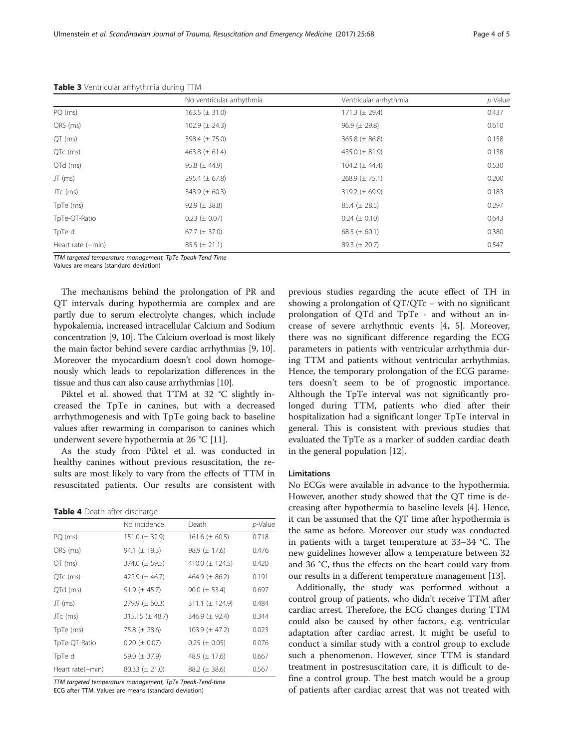|                   | No ventricular arrhythmia | Ventricular arrhythmia | $p$ -Value |
|-------------------|---------------------------|------------------------|------------|
| PQ (ms)           | $163.5 (\pm 31.0)$        | 171.3 $(\pm 29.4)$     | 0.437      |
| QRS (ms)          | 102.9 $(\pm 24.3)$        | $96.9 (\pm 29.8)$      | 0.610      |
| QT (ms)           | 398.4 $(\pm 75.0)$        | 365.8 $(\pm 86.8)$     | 0.158      |
| QTc (ms)          | 463.8 $(\pm 61.4)$        | 435.0 $(\pm 81.9)$     | 0.138      |
| QTd (ms)          | $95.8 (\pm 44.9)$         | 104.2 $(\pm 44.4)$     | 0.530      |
| $JT$ (ms)         | 295.4 $(\pm 67.8)$        | 268.9 ( $\pm$ 75.1)    | 0.200      |
| JTc (ms)          | 343.9 $(\pm 60.3)$        | 319.2 ( $\pm$ 69.9)    | 0.183      |
| TpTe (ms)         | 92.9 ( $\pm$ 38.8)        | $85.4 (\pm 28.5)$      | 0.297      |
| TpTe-QT-Ratio     | $0.23 (\pm 0.07)$         | $0.24 \ (\pm 0.10)$    | 0.643      |
| TpTe d            | 67.7 ( $\pm$ 37.0)        | 68.5 ( $\pm$ 60.1)     | 0.380      |
| Heart rate (-min) | $85.5 (\pm 21.1)$         | $89.3 (\pm 20.7)$      | 0.547      |

<span id="page-3-0"></span>Table 3 Ventricular arrhythmia during TTM

TTM targeted temperature management, TpTe Tpeak-Tend-Time

Values are means (standard deviation)

The mechanisms behind the prolongation of PR and QT intervals during hypothermia are complex and are partly due to serum electrolyte changes, which include hypokalemia, increased intracellular Calcium and Sodium concentration [\[9](#page-4-0), [10\]](#page-4-0). The Calcium overload is most likely the main factor behind severe cardiac arrhythmias [[9, 10](#page-4-0)]. Moreover the myocardium doesn't cool down homogenously which leads to repolarization differences in the tissue and thus can also cause arrhythmias [\[10\]](#page-4-0).

Piktel et al. showed that TTM at 32 °C slightly increased the TpTe in canines, but with a decreased arrhythmogenesis and with TpTe going back to baseline values after rewarming in comparison to canines which underwent severe hypothermia at 26 °C [\[11](#page-4-0)].

As the study from Piktel et al. was conducted in healthy canines without previous resuscitation, the results are most likely to vary from the effects of TTM in resuscitated patients. Our results are consistent with

#### Table 4 Death after discharge

| No incidence         | Death               | p-Value |
|----------------------|---------------------|---------|
| $151.0 \ (\pm 32.9)$ | $161.6 (\pm 60.5)$  | 0.718   |
| 94.1 $(\pm 19.3)$    | 98.9 $(\pm 17.6)$   | 0.476   |
| 374.0 $(\pm 59.5)$   | 410.0 $(\pm$ 124.5) | 0.420   |
| 422.9 $(\pm 46.7)$   | 464.9 $(\pm 86.2)$  | 0.191   |
| $91.9 \ (\pm 45.7)$  | $90.0 (\pm 53.4)$   | 0.697   |
| 279.9 ( $\pm$ 60.3)  | 311.1 $(\pm 124.9)$ | 0.484   |
| $315.15 (\pm 48.7)$  | 346.9 $(\pm 92.4)$  | 0.344   |
| 75.8 $(\pm 28.6)$    | $103.9 (\pm 47.2)$  | 0.023   |
| $0.20 (\pm 0.07)$    | $0.25 (\pm 0.05)$   | 0.076   |
| 59.0 ( $\pm$ 37.9)   | 48.9 $(\pm 17.6)$   | 0.667   |
| $80.33 \ (\pm 21.0)$ | 88.2 ( $\pm$ 38.6)  | 0.567   |
|                      |                     |         |

TTM targeted temperature management, TpTe Tpeak-Tend-time

ECG after TTM. Values are means (standard deviation)

previous studies regarding the acute effect of TH in showing a prolongation of  $QT/QTc$  – with no significant prolongation of QTd and TpTe - and without an increase of severe arrhythmic events [[4, 5\]](#page-4-0). Moreover, there was no significant difference regarding the ECG parameters in patients with ventricular arrhythmia during TTM and patients without ventricular arrhythmias. Hence, the temporary prolongation of the ECG parameters doesn't seem to be of prognostic importance. Although the TpTe interval was not significantly prolonged during TTM, patients who died after their hospitalization had a significant longer TpTe interval in general. This is consistent with previous studies that evaluated the TpTe as a marker of sudden cardiac death in the general population [\[12\]](#page-4-0).

#### Limitations

No ECGs were available in advance to the hypothermia. However, another study showed that the QT time is decreasing after hypothermia to baseline levels [\[4](#page-4-0)]. Hence, it can be assumed that the QT time after hypothermia is the same as before. Moreover our study was conducted in patients with a target temperature at 33–34 °C. The new guidelines however allow a temperature between 32 and 36 °C, thus the effects on the heart could vary from our results in a different temperature management [[13\]](#page-4-0).

Additionally, the study was performed without a control group of patients, who didn't receive TTM after cardiac arrest. Therefore, the ECG changes during TTM could also be caused by other factors, e.g. ventricular adaptation after cardiac arrest. It might be useful to conduct a similar study with a control group to exclude such a phenomenon. However, since TTM is standard treatment in postresuscitation care, it is difficult to define a control group. The best match would be a group of patients after cardiac arrest that was not treated with